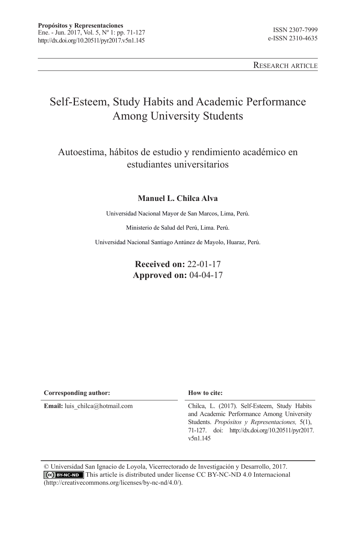Research article

# Self-Esteem, Study Habits and Academic Performance Among University Students

## Autoestima, hábitos de estudio y rendimiento académico en estudiantes universitarios

#### **Manuel L. Chilca Alva**

Universidad Nacional Mayor de San Marcos, Lima, Perú.

Ministerio de Salud del Perú, Lima. Perú.

Universidad Nacional Santiago Antúnez de Mayolo, Huaraz, Perú.

### **Received on:** 22-01-17 **Approved on:** 04-04-17

| Corresponding author:                 | How to cite:                                                                                                                                                                                                   |
|---------------------------------------|----------------------------------------------------------------------------------------------------------------------------------------------------------------------------------------------------------------|
| <b>Email:</b> luis chilca@hotmail.com | Chilca, L. (2017). Self-Esteem, Study Habits<br>and Academic Performance Among University<br>Students. Propósitos y Representaciones, $5(1)$ ,<br>71-127. doi: http://dx.doi.org/10.20511/pyr2017.<br>v5n1.145 |

© Universidad San Ignacio de Loyola, Vicerrectorado de Investigación y Desarrollo, 2017. This article is distributed under license CC BY-NC-ND 4.0 Internacional (http://creativecommons.org/licenses/by-nc-nd/4.0/).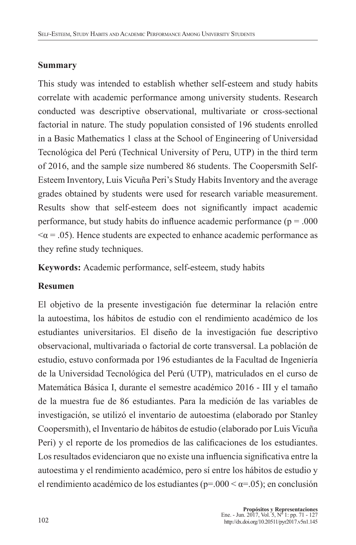### **Summary**

This study was intended to establish whether self-esteem and study habits correlate with academic performance among university students. Research conducted was descriptive observational, multivariate or cross-sectional factorial in nature. The study population consisted of 196 students enrolled in a Basic Mathematics 1 class at the School of Engineering of Universidad Tecnológica del Perú (Technical University of Peru, UTP) in the third term of 2016, and the sample size numbered 86 students. The Coopersmith Self-Esteem Inventory, Luis Vicuña Peri's Study Habits Inventory and the average grades obtained by students were used for research variable measurement. Results show that self-esteem does not significantly impact academic performance, but study habits do influence academic performance ( $p = .000$ )  $\alpha$  = .05). Hence students are expected to enhance academic performance as they refine study techniques.

**Keywords:** Academic performance, self-esteem, study habits

## **Resumen**

El objetivo de la presente investigación fue determinar la relación entre la autoestima, los hábitos de estudio con el rendimiento académico de los estudiantes universitarios. El diseño de la investigación fue descriptivo observacional, multivariada o factorial de corte transversal. La población de estudio, estuvo conformada por 196 estudiantes de la Facultad de Ingeniería de la Universidad Tecnológica del Perú (UTP), matriculados en el curso de Matemática Básica I, durante el semestre académico 2016 - III y el tamaño de la muestra fue de 86 estudiantes. Para la medición de las variables de investigación, se utilizó el inventario de autoestima (elaborado por Stanley Coopersmith), el Inventario de hábitos de estudio (elaborado por Luis Vicuña Peri) y el reporte de los promedios de las calificaciones de los estudiantes. Los resultados evidenciaron que no existe una influencia significativa entre la autoestima y el rendimiento académico, pero sí entre los hábitos de estudio y el rendimiento académico de los estudiantes ( $p=0.00 < \alpha = 0.05$ ); en conclusión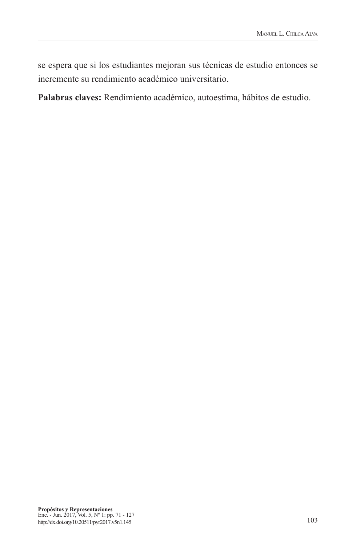se espera que si los estudiantes mejoran sus técnicas de estudio entonces se incremente su rendimiento académico universitario.

**Palabras claves:** Rendimiento académico, autoestima, hábitos de estudio.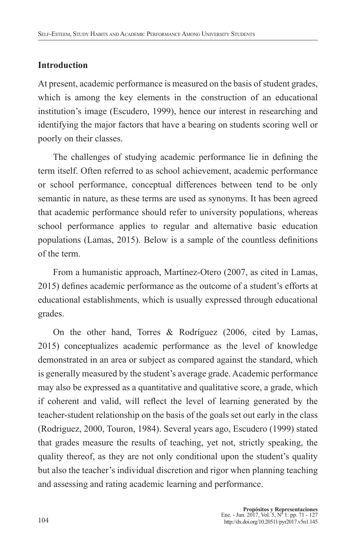## **Introduction**

At present, academic performance is measured on the basis of student grades, which is among the key elements in the construction of an educational institution's image (Escudero, 1999), hence our interest in researching and identifying the major factors that have a bearing on students scoring well or poorly on their classes.

The challenges of studying academic performance lie in defining the term itself. Often referred to as school achievement, academic performance or school performance, conceptual differences between tend to be only semantic in nature, as these terms are used as synonyms. It has been agreed that academic performance should refer to university populations, whereas school performance applies to regular and alternative basic education populations (Lamas, 2015). Below is a sample of the countless definitions of the term.

From a humanistic approach, Martínez-Otero (2007, as cited in Lamas, 2015) defines academic performance as the outcome of a student's efforts at educational establishments, which is usually expressed through educational grades.

On the other hand, Torres & Rodríguez (2006, cited by Lamas, 2015) conceptualizes academic performance as the level of knowledge demonstrated in an area or subject as compared against the standard, which is generally measured by the student's average grade. Academic performance may also be expressed as a quantitative and qualitative score, a grade, which if coherent and valid, will reflect the level of learning generated by the teacher-student relationship on the basis of the goals set out early in the class (Rodriguez, 2000, Touron, 1984). Several years ago, Escudero (1999) stated that grades measure the results of teaching, yet not, strictly speaking, the quality thereof, as they are not only conditional upon the student's quality but also the teacher's individual discretion and rigor when planning teaching and assessing and rating academic learning and performance.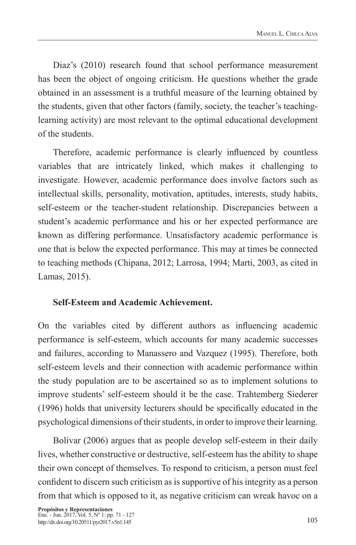Diaz's (2010) research found that school performance measurement has been the object of ongoing criticism. He questions whether the grade obtained in an assessment is a truthful measure of the learning obtained by the students, given that other factors (family, society, the teacher's teachinglearning activity) are most relevant to the optimal educational development of the students.

Therefore, academic performance is clearly influenced by countless variables that are intricately linked, which makes it challenging to investigate. However, academic performance does involve factors such as intellectual skills, personality, motivation, aptitudes, interests, study habits, self-esteem or the teacher-student relationship. Discrepancies between a student's academic performance and his or her expected performance are known as differing performance. Unsatisfactory academic performance is one that is below the expected performance. This may at times be connected to teaching methods (Chipana, 2012; Larrosa, 1994; Marti, 2003, as cited in Lamas, 2015).

## **Self-Esteem and Academic Achievement.**

On the variables cited by different authors as influencing academic performance is self-esteem, which accounts for many academic successes and failures, according to Manassero and Vazquez (1995). Therefore, both self-esteem levels and their connection with academic performance within the study population are to be ascertained so as to implement solutions to improve students' self-esteem should it be the case. Trahtemberg Siederer (1996) holds that university lecturers should be specifically educated in the psychological dimensions of their students, in order to improve their learning.

Bolivar (2006) argues that as people develop self-esteem in their daily lives, whether constructive or destructive, self-esteem has the ability to shape their own concept of themselves. To respond to criticism, a person must feel confident to discern such criticism as is supportive of his integrity as a person from that which is opposed to it, as negative criticism can wreak havoc on a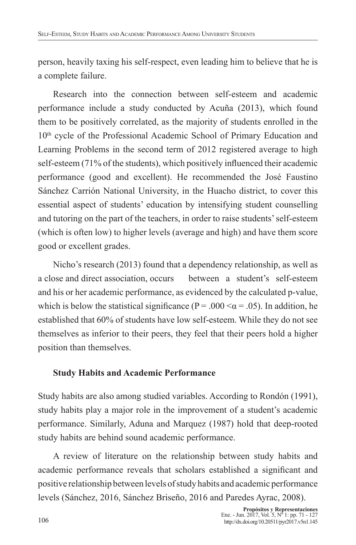person, heavily taxing his self-respect, even leading him to believe that he is a complete failure.

Research into the connection between self-esteem and academic performance include a study conducted by Acuña (2013), which found them to be positively correlated, as the majority of students enrolled in the 10<sup>th</sup> cycle of the Professional Academic School of Primary Education and Learning Problems in the second term of 2012 registered average to high self-esteem (71% of the students), which positively influenced their academic performance (good and excellent). He recommended the José Faustino Sánchez Carrión National University, in the Huacho district, to cover this essential aspect of students' education by intensifying student counselling and tutoring on the part of the teachers, in order to raise students' self-esteem (which is often low) to higher levels (average and high) and have them score good or excellent grades.

Nicho's research (2013) found that a dependency relationship, as well as a close and direct association, occurs between a student's self-esteem and his or her academic performance, as evidenced by the calculated p-value, which is below the statistical significance ( $P = .000 \le \alpha = .05$ ). In addition, he established that 60% of students have low self-esteem. While they do not see themselves as inferior to their peers, they feel that their peers hold a higher position than themselves.

## **Study Habits and Academic Performance**

Study habits are also among studied variables. According to Rondón (1991), study habits play a major role in the improvement of a student's academic performance. Similarly, Aduna and Marquez (1987) hold that deep-rooted study habits are behind sound academic performance.

A review of literature on the relationship between study habits and academic performance reveals that scholars established a significant and positive relationship between levels of study habits and academic performance levels (Sánchez, 2016, Sánchez Briseño, 2016 and Paredes Ayrac, 2008).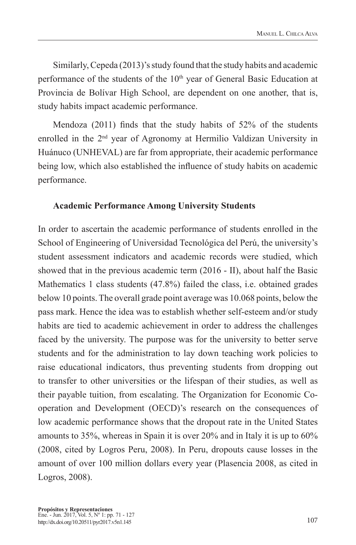Similarly, Cepeda (2013)'s study found that the study habits and academic performance of the students of the 10<sup>th</sup> year of General Basic Education at Provincia de Bolívar High School, are dependent on one another, that is, study habits impact academic performance.

Mendoza (2011) finds that the study habits of 52% of the students enrolled in the 2<sup>nd</sup> year of Agronomy at Hermilio Valdizan University in Huánuco (UNHEVAL) are far from appropriate, their academic performance being low, which also established the influence of study habits on academic performance.

### **Academic Performance Among University Students**

In order to ascertain the academic performance of students enrolled in the School of Engineering of Universidad Tecnológica del Perú, the university's student assessment indicators and academic records were studied, which showed that in the previous academic term (2016 - II), about half the Basic Mathematics 1 class students (47.8%) failed the class, i.e. obtained grades below 10 points. The overall grade point average was 10.068 points, below the pass mark. Hence the idea was to establish whether self-esteem and/or study habits are tied to academic achievement in order to address the challenges faced by the university. The purpose was for the university to better serve students and for the administration to lay down teaching work policies to raise educational indicators, thus preventing students from dropping out to transfer to other universities or the lifespan of their studies, as well as their payable tuition, from escalating. The Organization for Economic Cooperation and Development (OECD)'s research on the consequences of low academic performance shows that the dropout rate in the United States amounts to 35%, whereas in Spain it is over 20% and in Italy it is up to 60% (2008, cited by Logros Peru, 2008). In Peru, dropouts cause losses in the amount of over 100 million dollars every year (Plasencia 2008, as cited in Logros, 2008).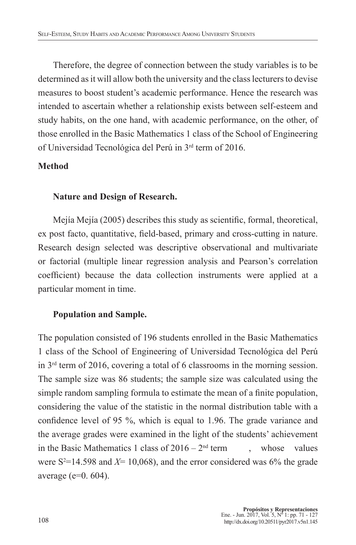Therefore, the degree of connection between the study variables is to be determined as it will allow both the university and the class lecturers to devise measures to boost student's academic performance. Hence the research was intended to ascertain whether a relationship exists between self-esteem and study habits, on the one hand, with academic performance, on the other, of those enrolled in the Basic Mathematics 1 class of the School of Engineering of Universidad Tecnológica del Perú in 3rd term of 2016.

### **Method**

### **Nature and Design of Research.**

Mejía Mejía (2005) describes this study as scientific, formal, theoretical, ex post facto, quantitative, field-based, primary and cross-cutting in nature. Research design selected was descriptive observational and multivariate or factorial (multiple linear regression analysis and Pearson's correlation coefficient) because the data collection instruments were applied at a particular moment in time.

## **Population and Sample.**

The population consisted of 196 students enrolled in the Basic Mathematics 1 class of the School of Engineering of Universidad Tecnológica del Perú in 3rd term of 2016, covering a total of 6 classrooms in the morning session. The sample size was 86 students; the sample size was calculated using the simple random sampling formula to estimate the mean of a finite population, considering the value of the statistic in the normal distribution table with a confidence level of 95 %, which is equal to 1.96. The grade variance and the average grades were examined in the light of the students' achievement in the Basic Mathematics 1 class of  $2016 - 2<sup>nd</sup>$  term , whose values were  $S^2 = 14.598$  and  $X = 10,068$ , and the error considered was 6% the grade average (e=0. 604).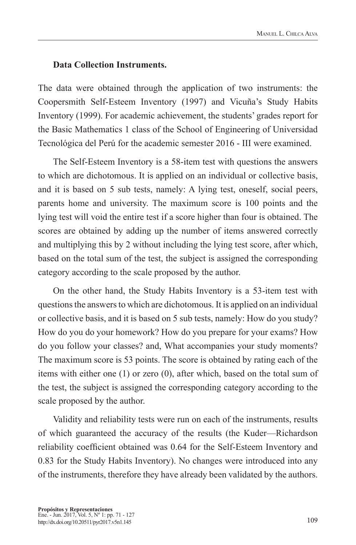#### **Data Collection Instruments.**

The data were obtained through the application of two instruments: the Coopersmith Self-Esteem Inventory (1997) and Vicuña's Study Habits Inventory (1999). For academic achievement, the students' grades report for the Basic Mathematics 1 class of the School of Engineering of Universidad Tecnológica del Perú for the academic semester 2016 - III were examined.

The Self-Esteem Inventory is a 58-item test with questions the answers to which are dichotomous. It is applied on an individual or collective basis, and it is based on 5 sub tests, namely: A lying test, oneself, social peers, parents home and university. The maximum score is 100 points and the lying test will void the entire test if a score higher than four is obtained. The scores are obtained by adding up the number of items answered correctly and multiplying this by 2 without including the lying test score, after which, based on the total sum of the test, the subject is assigned the corresponding category according to the scale proposed by the author.

On the other hand, the Study Habits Inventory is a 53-item test with questions the answers to which are dichotomous. It is applied on an individual or collective basis, and it is based on 5 sub tests, namely: How do you study? How do you do your homework? How do you prepare for your exams? How do you follow your classes? and, What accompanies your study moments? The maximum score is 53 points. The score is obtained by rating each of the items with either one (1) or zero (0), after which, based on the total sum of the test, the subject is assigned the corresponding category according to the scale proposed by the author.

Validity and reliability tests were run on each of the instruments, results of which guaranteed the accuracy of the results (the Kuder—Richardson reliability coefficient obtained was 0.64 for the Self-Esteem Inventory and 0.83 for the Study Habits Inventory). No changes were introduced into any of the instruments, therefore they have already been validated by the authors.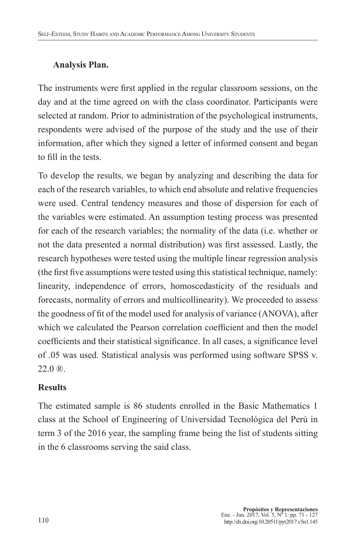## **Analysis Plan.**

The instruments were first applied in the regular classroom sessions, on the day and at the time agreed on with the class coordinator. Participants were selected at random. Prior to administration of the psychological instruments, respondents were advised of the purpose of the study and the use of their information, after which they signed a letter of informed consent and began to fill in the tests.

To develop the results, we began by analyzing and describing the data for each of the research variables, to which end absolute and relative frequencies were used. Central tendency measures and those of dispersion for each of the variables were estimated. An assumption testing process was presented for each of the research variables; the normality of the data (i.e. whether or not the data presented a normal distribution) was first assessed. Lastly, the research hypotheses were tested using the multiple linear regression analysis (the first five assumptions were tested using this statistical technique, namely: linearity, independence of errors, homoscedasticity of the residuals and forecasts, normality of errors and multicollinearity). We proceeded to assess the goodness of fit of the model used for analysis of variance (ANOVA), after which we calculated the Pearson correlation coefficient and then the model coefficients and their statistical significance. In all cases, a significance level of .05 was used. Statistical analysis was performed using software SPSS v.  $22.0 \, \text{R}$ .

## **Results**

The estimated sample is 86 students enrolled in the Basic Mathematics 1 class at the School of Engineering of Universidad Tecnológica del Perú in term 3 of the 2016 year, the sampling frame being the list of students sitting in the 6 classrooms serving the said class.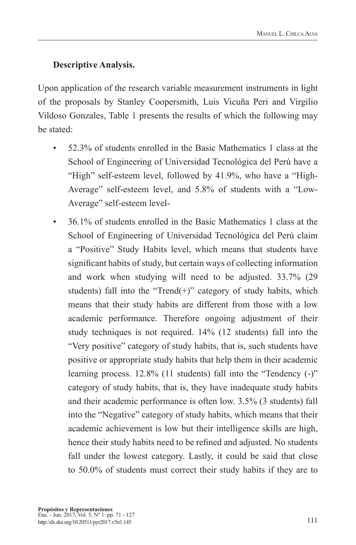## **Descriptive Analysis.**

Upon application of the research variable measurement instruments in light of the proposals by Stanley Coopersmith, Luis Vicuña Peri and Virgilio Vildoso Gonzales, Table 1 presents the results of which the following may be stated:

- 52.3% of students enrolled in the Basic Mathematics 1 class at the School of Engineering of Universidad Tecnológica del Perú have a "High" self-esteem level, followed by 41.9%, who have a "High-Average" self-esteem level, and 5.8% of students with a "Low-Average" self-esteem level-
- 36.1% of students enrolled in the Basic Mathematics 1 class at the School of Engineering of Universidad Tecnológica del Perú claim a "Positive" Study Habits level, which means that students have significant habits of study, but certain ways of collecting information and work when studying will need to be adjusted. 33.7% (29 students) fall into the "Trend $(+)$ " category of study habits, which means that their study habits are different from those with a low academic performance. Therefore ongoing adjustment of their study techniques is not required. 14% (12 students) fall into the "Very positive" category of study habits, that is, such students have positive or appropriate study habits that help them in their academic learning process. 12.8% (11 students) fall into the "Tendency (-)" category of study habits, that is, they have inadequate study habits and their academic performance is often low. 3.5% (3 students) fall into the "Negative" category of study habits, which means that their academic achievement is low but their intelligence skills are high, hence their study habits need to be refined and adjusted. No students fall under the lowest category. Lastly, it could be said that close to 50.0% of students must correct their study habits if they are to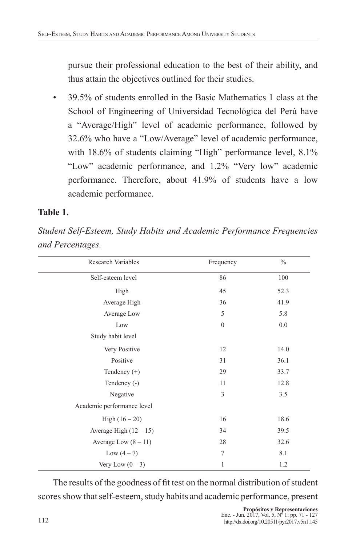pursue their professional education to the best of their ability, and thus attain the objectives outlined for their studies.

• 39.5% of students enrolled in the Basic Mathematics 1 class at the School of Engineering of Universidad Tecnológica del Perú have a "Average/High" level of academic performance, followed by 32.6% who have a "Low/Average" level of academic performance, with 18.6% of students claiming "High" performance level, 8.1% "Low" academic performance, and 1.2% "Very low" academic performance. Therefore, about 41.9% of students have a low academic performance.

## **Table 1.**

*Student Self-Esteem, Study Habits and Academic Performance Frequencies and Percentages.*

| Research Variables         | Frequency        | $\frac{0}{0}$ |
|----------------------------|------------------|---------------|
| Self-esteem level          | 86               | 100           |
| High                       | 45               | 52.3          |
| Average High               | 36               | 41.9          |
| Average Low                | 5                | 5.8           |
| Low                        | $\boldsymbol{0}$ | 0.0           |
| Study habit level          |                  |               |
| Very Positive              | 12               | 14.0          |
| Positive                   | 31               | 36.1          |
| Tendency $(+)$             | 29               | 33.7          |
| Tendency (-)               | 11               | 12.8          |
| Negative                   | 3                | 3.5           |
| Academic performance level |                  |               |
| High $(16 - 20)$           | 16               | 18.6          |
| Average High $(12 - 15)$   | 34               | 39.5          |
| Average Low $(8 - 11)$     | 28               | 32.6          |
| Low $(4 - 7)$              | $\overline{7}$   | 8.1           |
| Very Low $(0-3)$           | 1                | 1.2           |

The results of the goodness of fit test on the normal distribution of student scores show that self-esteem, study habits and academic performance, present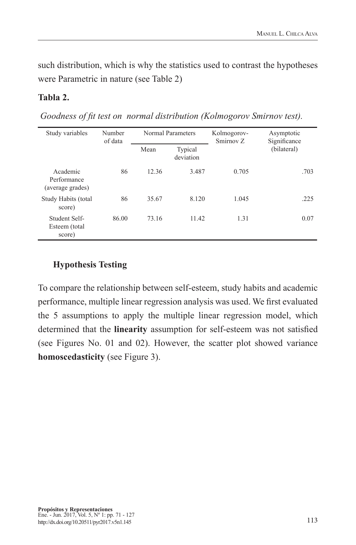such distribution, which is why the statistics used to contrast the hypotheses were Parametric in nature (see Table 2)

### **Tabla 2.**

 *Goodness of fit test on normal distribution (Kolmogorov Smirnov test).*

| Normal Parameters<br>Number<br>Study variables<br>of data |       | Kolmogorov-<br>Smirnov <sub>Z</sub> | Asymptotic<br>Significance |       |             |
|-----------------------------------------------------------|-------|-------------------------------------|----------------------------|-------|-------------|
|                                                           |       | Mean                                | Typical<br>deviation       |       | (bilateral) |
| Academic<br>Performance<br>(average grades)               | 86    | 12.36                               | 3.487                      | 0.705 | .703        |
| Study Habits (total<br>score)                             | 86    | 35.67                               | 8.120                      | 1.045 | .225        |
| Student Self-<br>Esteem (total<br>score)                  | 86.00 | 73.16                               | 11.42                      | 1.31  | 0.07        |

## **Hypothesis Testing**

To compare the relationship between self-esteem, study habits and academic performance, multiple linear regression analysis was used. We first evaluated the 5 assumptions to apply the multiple linear regression model, which determined that the **linearity** assumption for self-esteem was not satisfied (see Figures No. 01 and 02). However, the scatter plot showed variance **homoscedasticity** (see Figure 3).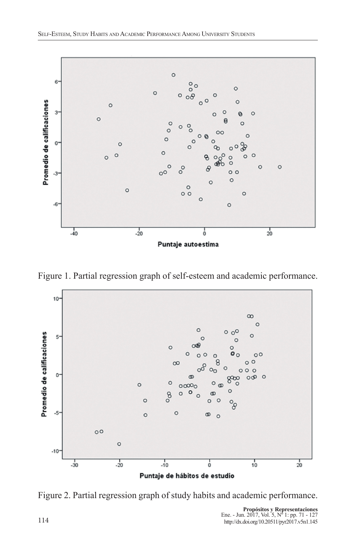

Figure 1. Partial regression graph of self-esteem and academic performance.



Figure 2. Partial regression graph of study habits and academic performance.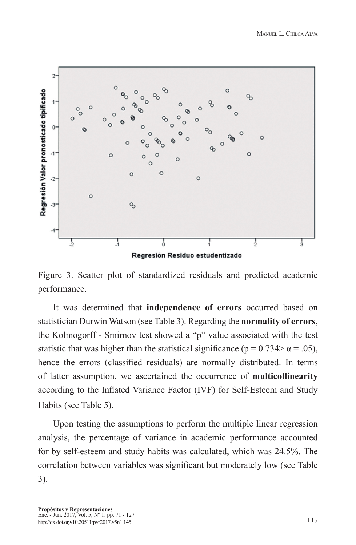

Figure 3. Scatter plot of standardized residuals and predicted academic performance.

It was determined that **independence of errors** occurred based on statistician Durwin Watson (see Table 3). Regarding the **normality of errors**, the Kolmogorff - Smirnov test showed a "p" value associated with the test statistic that was higher than the statistical significance ( $p = 0.734 > \alpha = .05$ ), hence the errors (classified residuals) are normally distributed. In terms of latter assumption, we ascertained the occurrence of **multicollinearity** according to the Inflated Variance Factor (IVF) for Self-Esteem and Study Habits (see Table 5).

Upon testing the assumptions to perform the multiple linear regression analysis, the percentage of variance in academic performance accounted for by self-esteem and study habits was calculated, which was 24.5%. The correlation between variables was significant but moderately low (see Table 3).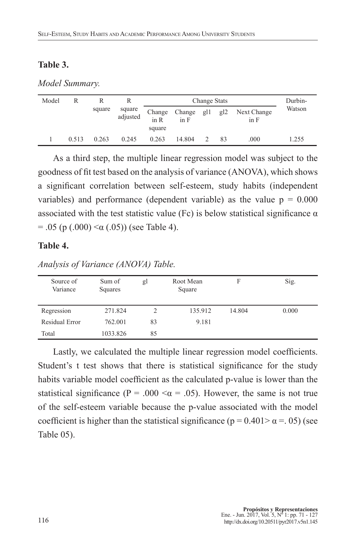### **Table 3.**

*Model Summary.*

| Model |       |        |                    | Change Stats             |                |     |     |                     | Durbin- |
|-------|-------|--------|--------------------|--------------------------|----------------|-----|-----|---------------------|---------|
|       |       | square | square<br>adjusted | Change<br>in R<br>square | Change<br>in F | g11 | g12 | Next Change<br>in F | Watson  |
|       | 0.513 | 0.263  | 0.245              | 0.263                    | 14.804         |     | 83  | .000                | 1.255   |

As a third step, the multiple linear regression model was subject to the goodness of fit test based on the analysis of variance (ANOVA), which shows a significant correlation between self-esteem, study habits (independent variables) and performance (dependent variable) as the value  $p = 0.000$ associated with the test statistic value (Fc) is below statistical significance  $\alpha$  $= .05$  (p  $(.000) < \alpha (.05)$ ) (see Table 4).

#### **Table 4.**

| Source of<br>Variance | Sum of<br>Squares | gl | Root Mean<br>Square | F      | Sig.  |
|-----------------------|-------------------|----|---------------------|--------|-------|
| Regression            | 271.824           | ∍  | 135.912             | 14.804 | 0.000 |
| Residual Error        | 762.001           | 83 | 9.181               |        |       |
| Total                 | 1033.826          | 85 |                     |        |       |

*Analysis of Variance (ANOVA) Table.*

Lastly, we calculated the multiple linear regression model coefficients. Student's t test shows that there is statistical significance for the study habits variable model coefficient as the calculated p-value is lower than the statistical significance (P = .000  $\lt \alpha$  = .05). However, the same is not true of the self-esteem variable because the p-value associated with the model coefficient is higher than the statistical significance ( $p = 0.401 > \alpha = .05$ ) (see Table 05).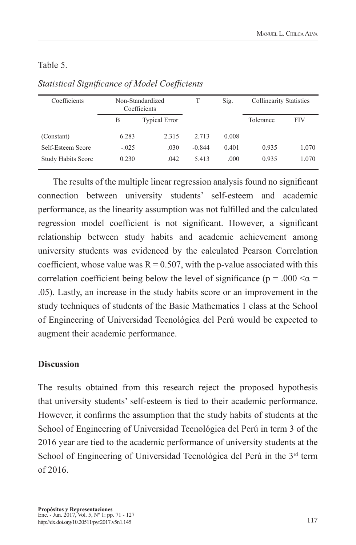## Table 5.

| Coefficients              | Non-Standardized<br>Coefficients |                      | T        | Sig.  | <b>Collinearity Statistics</b> |            |
|---------------------------|----------------------------------|----------------------|----------|-------|--------------------------------|------------|
|                           | B                                | <b>Typical Error</b> |          |       | Tolerance                      | <b>FIV</b> |
| (Constant)                | 6.283                            | 2.315                | 2.713    | 0.008 |                                |            |
| Self-Esteem Score         | $-.025$                          | .030                 | $-0.844$ | 0.401 | 0.935                          | 1.070      |
| <b>Study Habits Score</b> | 0.230                            | .042                 | 5.413    | .000  | 0.935                          | 1.070      |

## *Statistical Significance of Model Coefficients*

The results of the multiple linear regression analysis found no significant connection between university students' self-esteem and academic performance, as the linearity assumption was not fulfilled and the calculated regression model coefficient is not significant. However, a significant relationship between study habits and academic achievement among university students was evidenced by the calculated Pearson Correlation coefficient, whose value was  $R = 0.507$ , with the p-value associated with this correlation coefficient being below the level of significance ( $p = .000 < \alpha =$ .05). Lastly, an increase in the study habits score or an improvement in the study techniques of students of the Basic Mathematics 1 class at the School of Engineering of Universidad Tecnológica del Perú would be expected to augment their academic performance.

## **Discussion**

The results obtained from this research reject the proposed hypothesis that university students' self-esteem is tied to their academic performance. However, it confirms the assumption that the study habits of students at the School of Engineering of Universidad Tecnológica del Perú in term 3 of the 2016 year are tied to the academic performance of university students at the School of Engineering of Universidad Tecnológica del Perú in the 3<sup>rd</sup> term of 2016.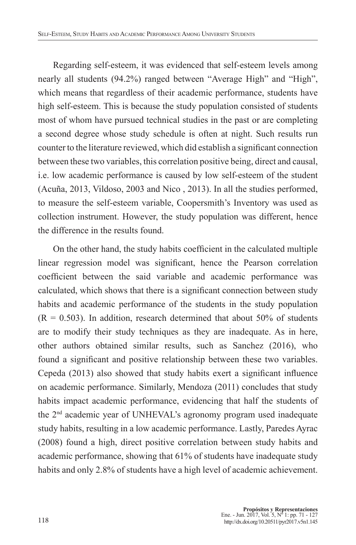Regarding self-esteem, it was evidenced that self-esteem levels among nearly all students (94.2%) ranged between "Average High" and "High", which means that regardless of their academic performance, students have high self-esteem. This is because the study population consisted of students most of whom have pursued technical studies in the past or are completing a second degree whose study schedule is often at night. Such results run counter to the literature reviewed, which did establish a significant connection between these two variables, this correlation positive being, direct and causal, i.e. low academic performance is caused by low self-esteem of the student (Acuña, 2013, Vildoso, 2003 and Nico , 2013). In all the studies performed, to measure the self-esteem variable, Coopersmith's Inventory was used as collection instrument. However, the study population was different, hence the difference in the results found.

On the other hand, the study habits coefficient in the calculated multiple linear regression model was significant, hence the Pearson correlation coefficient between the said variable and academic performance was calculated, which shows that there is a significant connection between study habits and academic performance of the students in the study population  $(R = 0.503)$ . In addition, research determined that about 50% of students are to modify their study techniques as they are inadequate. As in here, other authors obtained similar results, such as Sanchez (2016), who found a significant and positive relationship between these two variables. Cepeda (2013) also showed that study habits exert a significant influence on academic performance. Similarly, Mendoza (2011) concludes that study habits impact academic performance, evidencing that half the students of the 2nd academic year of UNHEVAL's agronomy program used inadequate study habits, resulting in a low academic performance. Lastly, Paredes Ayrac (2008) found a high, direct positive correlation between study habits and academic performance, showing that 61% of students have inadequate study habits and only 2.8% of students have a high level of academic achievement.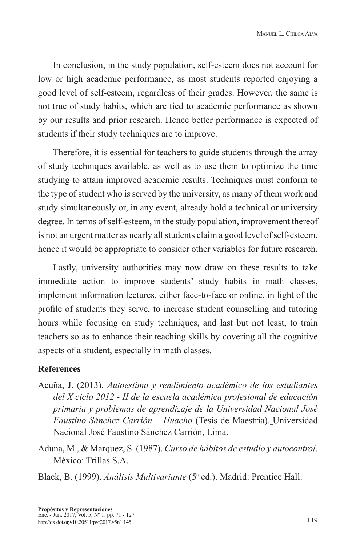In conclusion, in the study population, self-esteem does not account for low or high academic performance, as most students reported enjoying a good level of self-esteem, regardless of their grades. However, the same is not true of study habits, which are tied to academic performance as shown by our results and prior research. Hence better performance is expected of students if their study techniques are to improve.

Therefore, it is essential for teachers to guide students through the array of study techniques available, as well as to use them to optimize the time studying to attain improved academic results. Techniques must conform to the type of student who is served by the university, as many of them work and study simultaneously or, in any event, already hold a technical or university degree. In terms of self-esteem, in the study population, improvement thereof is not an urgent matter as nearly all students claim a good level of self-esteem, hence it would be appropriate to consider other variables for future research.

Lastly, university authorities may now draw on these results to take immediate action to improve students' study habits in math classes, implement information lectures, either face-to-face or online, in light of the profile of students they serve, to increase student counselling and tutoring hours while focusing on study techniques, and last but not least, to train teachers so as to enhance their teaching skills by covering all the cognitive aspects of a student, especially in math classes.

### **References**

- Acuña, J. (2013). *Autoestima y rendimiento académico de los estudiantes del X ciclo 2012 - II de la escuela académica profesional de educación primaria y problemas de aprendizaje de la Universidad Nacional José Faustino Sánchez Carrión – Huacho* (Tesis de Maestría). Universidad Nacional José Faustino Sánchez Carrión, Lima.
- Aduna, M., & Marquez, S. (1987). *Curso de hábitos de estudio y autocontrol*. México: Trillas S.A.

Black, B. (1999). Análisis Multivariante (5<sup>ª</sup> ed.). Madrid: Prentice Hall.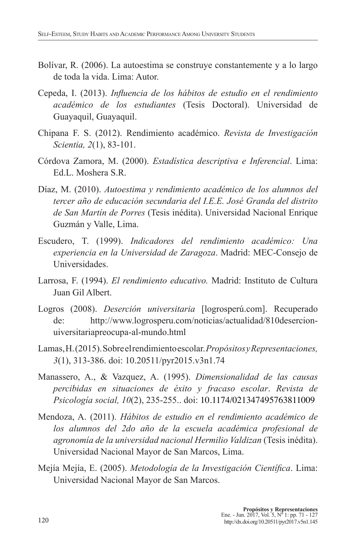- Bolívar, R. (2006). La autoestima se construye constantemente y a lo largo de toda la vida. Lima: Autor.
- Cepeda, I. (2013). *Influencia de los hábitos de estudio en el rendimiento académico de los estudiantes* (Tesis Doctoral). Universidad de Guayaquil, Guayaquil.
- Chipana F. S. (2012). Rendimiento académico. *Revista de Investigación Scientia, 2*(1), 83-101.
- Córdova Zamora, M. (2000). *Estadística descriptiva e Inferencial*. Lima: Ed.L. Moshera S.R.
- Díaz, M. (2010). *Autoestima y rendimiento académico de los alumnos del tercer año de educación secundaria del I.E.E. José Granda del distrito de San Martín de Porres* (Tesis inédita). Universidad Nacional Enrique Guzmán y Valle, Lima.
- Escudero, T. (1999). *Indicadores del rendimiento académico: Una experiencia en la Universidad de Zaragoza*. Madrid: MEC-Consejo de Universidades.
- Larrosa, F. (1994). *El rendimiento educativo.* Madrid: Instituto de Cultura Juan Gil Albert.
- Logros (2008). *Deserción universitaria* [logrosperú.com]. Recuperado de: http://www.logrosperu.com/noticias/actualidad/810desercionuiversitariapreocupa-al-mundo.html
- Lamas, H. (2015). Sobre el rendimiento escolar. *Propósitos y Representaciones, 3*(1), 313-386. doi: 10.20511/pyr2015.v3n1.74
- Manassero, A., & Vazquez, A. (1995). *Dimensionalidad de las causas percibidas en situaciones de éxito y fracaso escolar*. *Revista de Psicología social, 10*(2), 235-255.. doi: 10.1174/021347495763811009
- Mendoza, A. (2011). *Hábitos de estudio en el rendimiento académico de los alumnos del 2do año de la escuela académica profesional de agronomía de la universidad nacional Hermilio Valdizan* (Tesis inédita). Universidad Nacional Mayor de San Marcos, Lima.
- Mejía Mejía, E. (2005). *Metodología de la Investigación Científica*. Lima: Universidad Nacional Mayor de San Marcos.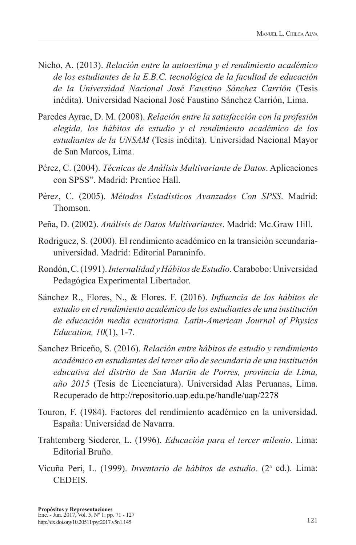- Nicho, A. (2013). *Relación entre la autoestima y el rendimiento académico de los estudiantes de la E.B.C. tecnológica de la facultad de educación de la Universidad Nacional José Faustino Sánchez Carrión* (Tesis inédita). Universidad Nacional José Faustino Sánchez Carrión, Lima.
- Paredes Ayrac, D. M. (2008). *Relación entre la satisfacción con la profesión elegida, los hábitos de estudio y el rendimiento académico de los estudiantes de la UNSAM* (Tesis inédita). Universidad Nacional Mayor de San Marcos, Lima.
- Pérez, C. (2004). *Técnicas de Análisis Multivariante de Datos*. Aplicaciones con SPSS". Madrid: Prentice Hall.
- Pérez, C. (2005). *Métodos Estadísticos Avanzados Con SPSS*. Madrid: Thomson.
- Peña, D. (2002). *Análisis de Datos Multivariantes*. Madrid: Mc.Graw Hill.
- Rodriguez, S. (2000). El rendimiento académico en la transición secundariauniversidad. Madrid: Editorial Paraninfo.
- Rondón, C. (1991). *Internalidad y Hábitos de Estudio*. Carabobo: Universidad Pedagógica Experimental Libertador.
- Sánchez R., Flores, N., & Flores. F. (2016). *Influencia de los hábitos de estudio en el rendimiento académico de los estudiantes de una institución de educación media ecuatoriana. Latin-American Journal of Physics Education, 10*(1), 1-7.
- Sanchez Briceño, S. (2016). *Relación entre hábitos de estudio y rendimiento académico en estudiantes del tercer año de secundaria de una institución educativa del distrito de San Martin de Porres, provincia de Lima, año 2015* (Tesis de Licenciatura). Universidad Alas Peruanas, Lima. Recuperado de http://repositorio.uap.edu.pe/handle/uap/2278
- Touron, F. (1984). Factores del rendimiento académico en la universidad. España: Universidad de Navarra.
- Trahtemberg Siederer, L. (1996). *Educación para el tercer milenio*. Lima: Editorial Bruño.
- Vicuña Peri, L. (1999). *Inventario de hábitos de estudio*. (2<sup>ª</sup> ed.). Lima: **CEDEIS**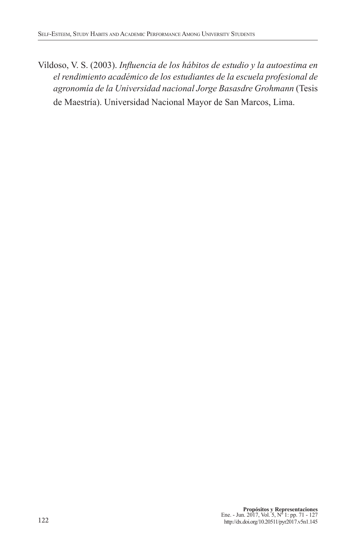Vildoso, V. S. (2003). *Influencia de los hábitos de estudio y la autoestima en el rendimiento académico de los estudiantes de la escuela profesional de agronomía de la Universidad nacional Jorge Basasdre Grohmann* (Tesis de Maestría). Universidad Nacional Mayor de San Marcos, Lima.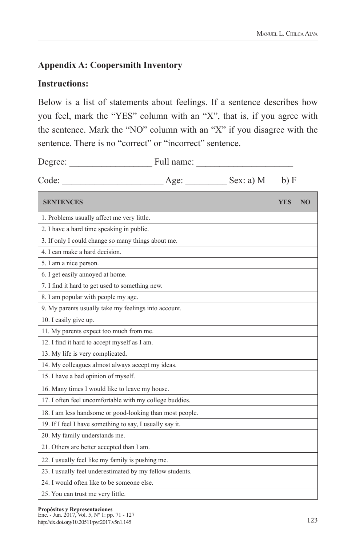## **Appendix A: Coopersmith Inventory**

## **Instructions:**

Below is a list of statements about feelings. If a sentence describes how you feel, mark the "YES" column with an "X", that is, if you agree with the sentence. Mark the "NO" column with an "X" if you disagree with the sentence. There is no "correct" or "incorrect" sentence.

| Degree:                                                  | Full name: |                |            |                |
|----------------------------------------------------------|------------|----------------|------------|----------------|
| Code:                                                    |            | Age: Sex: a) M | b) F       |                |
| <b>SENTENCES</b>                                         |            |                | <b>YES</b> | N <sub>O</sub> |
| 1. Problems usually affect me very little.               |            |                |            |                |
| 2. I have a hard time speaking in public.                |            |                |            |                |
| 3. If only I could change so many things about me.       |            |                |            |                |
| 4. I can make a hard decision.                           |            |                |            |                |
| 5. I am a nice person.                                   |            |                |            |                |
| 6. I get easily annoyed at home.                         |            |                |            |                |
| 7. I find it hard to get used to something new.          |            |                |            |                |
| 8. I am popular with people my age.                      |            |                |            |                |
| 9. My parents usually take my feelings into account.     |            |                |            |                |
| 10. I easily give up.                                    |            |                |            |                |
| 11. My parents expect too much from me.                  |            |                |            |                |
| 12. I find it hard to accept myself as I am.             |            |                |            |                |
| 13. My life is very complicated.                         |            |                |            |                |
| 14. My colleagues almost always accept my ideas.         |            |                |            |                |
| 15. I have a bad opinion of myself.                      |            |                |            |                |
| 16. Many times I would like to leave my house.           |            |                |            |                |
| 17. I often feel uncomfortable with my college buddies.  |            |                |            |                |
| 18. I am less handsome or good-looking than most people. |            |                |            |                |
| 19. If I feel I have something to say, I usually say it. |            |                |            |                |
| 20. My family understands me.                            |            |                |            |                |
| 21. Others are better accepted than I am.                |            |                |            |                |
| 22. I usually feel like my family is pushing me.         |            |                |            |                |
| 23. I usually feel underestimated by my fellow students. |            |                |            |                |
| 24. I would often like to be someone else.               |            |                |            |                |
| 25. You can trust me very little.                        |            |                |            |                |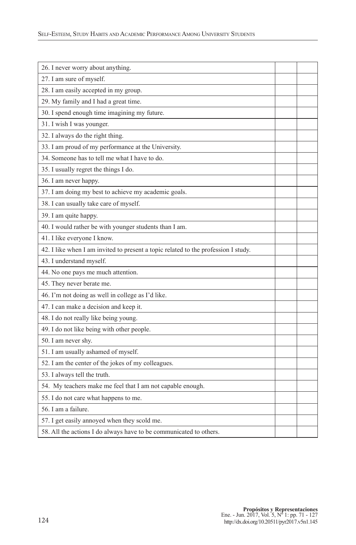| 26. I never worry about anything.                                                  |  |
|------------------------------------------------------------------------------------|--|
| 27. I am sure of myself.                                                           |  |
| 28. I am easily accepted in my group.                                              |  |
| 29. My family and I had a great time.                                              |  |
| 30. I spend enough time imagining my future.                                       |  |
| 31. I wish I was younger.                                                          |  |
| 32. I always do the right thing.                                                   |  |
| 33. I am proud of my performance at the University.                                |  |
| 34. Someone has to tell me what I have to do.                                      |  |
| 35. I usually regret the things I do.                                              |  |
| 36. I am never happy.                                                              |  |
| 37. I am doing my best to achieve my academic goals.                               |  |
| 38. I can usually take care of myself.                                             |  |
| 39. I am quite happy.                                                              |  |
| 40. I would rather be with younger students than I am.                             |  |
| 41. I like everyone I know.                                                        |  |
| 42. I like when I am invited to present a topic related to the profession I study. |  |
| 43. I understand myself.                                                           |  |
| 44. No one pays me much attention.                                                 |  |
| 45. They never berate me.                                                          |  |
| 46. I'm not doing as well in college as I'd like.                                  |  |
| 47. I can make a decision and keep it.                                             |  |
| 48. I do not really like being young.                                              |  |
| 49. I do not like being with other people.                                         |  |
| 50. I am never shy.                                                                |  |
| 51. I am usually ashamed of myself.                                                |  |
| 52. I am the center of the jokes of my colleagues.                                 |  |
| 53. I always tell the truth.                                                       |  |
| 54. My teachers make me feel that I am not capable enough.                         |  |
| 55. I do not care what happens to me.                                              |  |
| 56. I am a failure.                                                                |  |
| 57. I get easily annoyed when they scold me.                                       |  |
| 58. All the actions I do always have to be communicated to others.                 |  |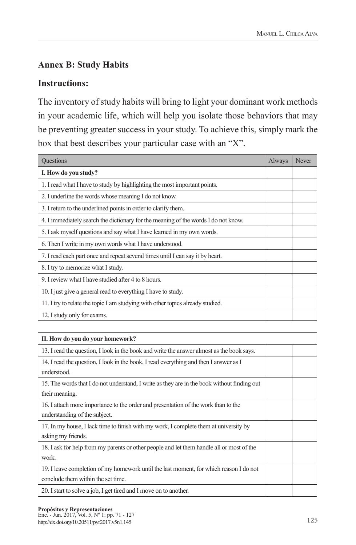## **Annex B: Study Habits**

## **Instructions:**

The inventory of study habits will bring to light your dominant work methods in your academic life, which will help you isolate those behaviors that may be preventing greater success in your study. To achieve this, simply mark the box that best describes your particular case with an "X".

| <b>Questions</b>                                                                   | Always | Never |
|------------------------------------------------------------------------------------|--------|-------|
| I. How do you study?                                                               |        |       |
| 1. I read what I have to study by highlighting the most important points.          |        |       |
| 2. I underline the words whose meaning I do not know.                              |        |       |
| 3. I return to the underlined points in order to clarify them.                     |        |       |
| 4. I immediately search the dictionary for the meaning of the words I do not know. |        |       |
| 5. I ask myself questions and say what I have learned in my own words.             |        |       |
| 6. Then I write in my own words what I have understood.                            |        |       |
| 7. I read each part once and repeat several times until I can say it by heart.     |        |       |
| 8. I try to memorize what I study.                                                 |        |       |
| 9. I review what I have studied after 4 to 8 hours.                                |        |       |
| 10. I just give a general read to everything I have to study.                      |        |       |
| 11. I try to relate the topic I am studying with other topics already studied.     |        |       |
| 12. I study only for exams.                                                        |        |       |

| II. How do you do your homework?                                                            |  |
|---------------------------------------------------------------------------------------------|--|
| 13. I read the question, I look in the book and write the answer almost as the book says.   |  |
| 14. I read the question, I look in the book, I read everything and then I answer as I       |  |
| understood.                                                                                 |  |
| 15. The words that I do not understand, I write as they are in the book without finding out |  |
| their meaning.                                                                              |  |
| 16. I attach more importance to the order and presentation of the work than to the          |  |
| understanding of the subject.                                                               |  |
| 17. In my house, I lack time to finish with my work, I complete them at university by       |  |
| asking my friends.                                                                          |  |
| 18. I ask for help from my parents or other people and let them handle all or most of the   |  |
| work.                                                                                       |  |
| 19. I leave completion of my homework until the last moment, for which reason I do not      |  |
| conclude them within the set time.                                                          |  |
| 20. I start to solve a job, I get tired and I move on to another.                           |  |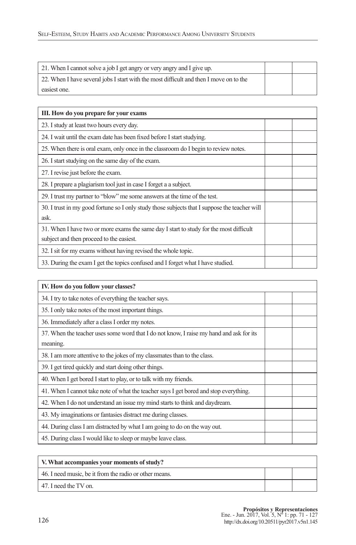| 21. When I cannot solve a job I get angry or very angry and I give up.                 |  |
|----------------------------------------------------------------------------------------|--|
| 22. When I have several jobs I start with the most difficult and then I move on to the |  |
| easiest one.                                                                           |  |

| III. How do you prepare for your exams                                                        |  |
|-----------------------------------------------------------------------------------------------|--|
| 23. I study at least two hours every day.                                                     |  |
| 24. I wait until the exam date has been fixed before I start studying.                        |  |
| 25. When there is oral exam, only once in the classroom do I begin to review notes.           |  |
| 26. I start studying on the same day of the exam.                                             |  |
| 27. I revise just before the exam.                                                            |  |
| 28. I prepare a plagiarism tool just in case I forget a a subject.                            |  |
| 29. I trust my partner to "blow" me some answers at the time of the test.                     |  |
| 30. I trust in my good fortune so I only study those subjects that I suppose the teacher will |  |
| ask.                                                                                          |  |
| 31. When I have two or more exams the same day I start to study for the most difficult        |  |
| subject and then proceed to the easiest.                                                      |  |
| 32. I sit for my exams without having revised the whole topic.                                |  |
| 33. During the exam I get the topics confused and I forget what I have studied.               |  |

| IV. How do you follow your classes?                                                     |  |
|-----------------------------------------------------------------------------------------|--|
| 34. I try to take notes of everything the teacher says.                                 |  |
| 35. I only take notes of the most important things.                                     |  |
| 36. Immediately after a class I order my notes.                                         |  |
| 37. When the teacher uses some word that I do not know, I raise my hand and ask for its |  |
| meaning.                                                                                |  |
| 38. I am more attentive to the jokes of my classmates than to the class.                |  |
| 39. I get tired quickly and start doing other things.                                   |  |
| 40. When I get bored I start to play, or to talk with my friends.                       |  |
| 41. When I cannot take note of what the teacher says I get bored and stop everything.   |  |
| 42. When I do not understand an issue my mind starts to think and daydream.             |  |
| 43. My imaginations or fantasies distract me during classes.                            |  |
| 44. During class I am distracted by what I am going to do on the way out.               |  |
| 45. During class I would like to sleep or maybe leave class.                            |  |

| V. What accompanies your moments of study?             |  |
|--------------------------------------------------------|--|
| 46. I need music, be it from the radio or other means. |  |
| 47. I need the TV on.                                  |  |